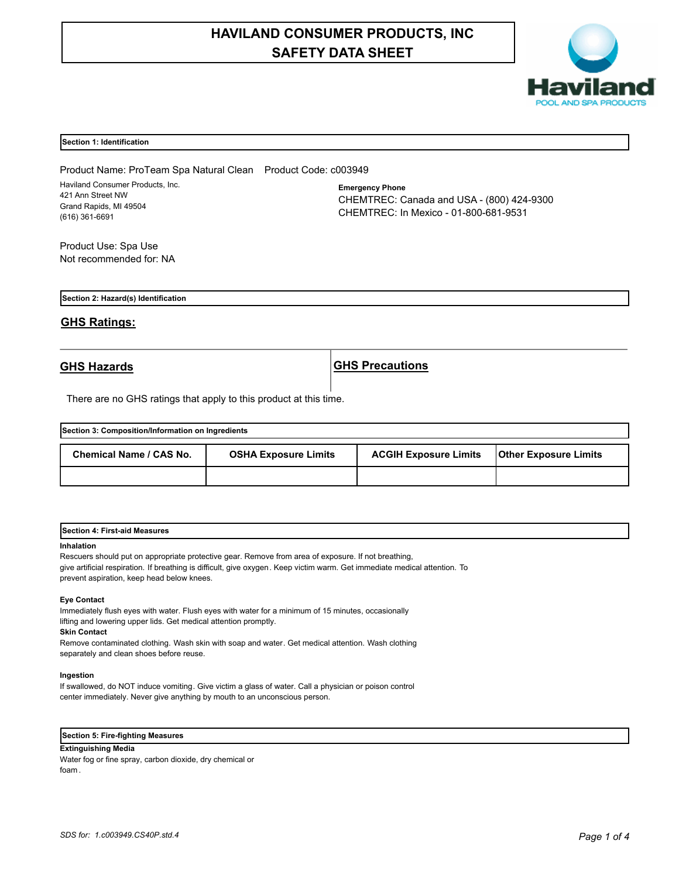# **HAVILAND CONSUMER PRODUCTS, INC SAFETY DATA SHEET**



### **Section 1: Identification**

Product Name: ProTeam Spa Natural Clean Product Code: c003949 Haviland Consumer Products, Inc. 421 Ann Street NW Grand Rapids, MI 49504 (616) 361-6691

**Emergency Phone** CHEMTREC: Canada and USA - (800) 424-9300 CHEMTREC: In Mexico - 01-800-681-9531

Product Use: Spa Use Not recommended for: NA

**Section 2: Hazard(s) Identification**

## **GHS Ratings:**

**GHS Hazards GHS Precautions**

There are no GHS ratings that apply to this product at this time.

| Section 3: Composition/Information on Ingredients |                             |                              |                              |  |
|---------------------------------------------------|-----------------------------|------------------------------|------------------------------|--|
| Chemical Name / CAS No.                           | <b>OSHA Exposure Limits</b> | <b>ACGIH Exposure Limits</b> | <b>Other Exposure Limits</b> |  |
|                                                   |                             |                              |                              |  |

| <b>Section 4: First-aid Measures</b> |  |
|--------------------------------------|--|
|                                      |  |

### **Inhalation**

Rescuers should put on appropriate protective gear. Remove from area of exposure. If not breathing, give artificial respiration. If breathing is difficult, give oxygen. Keep victim warm. Get immediate medical attention. To prevent aspiration, keep head below knees.

#### **Eye Contact**

Immediately flush eyes with water. Flush eyes with water for a minimum of 15 minutes, occasionally lifting and lowering upper lids. Get medical attention promptly.

**Skin Contact**

Remove contaminated clothing. Wash skin with soap and water. Get medical attention. Wash clothing separately and clean shoes before reuse.

### **Ingestion**

If swallowed, do NOT induce vomiting. Give victim a glass of water. Call a physician or poison control center immediately. Never give anything by mouth to an unconscious person.

## **Section 5: Fire-fighting Measures**

## **Extinguishing Media**

Water fog or fine spray, carbon dioxide, dry chemical or foam .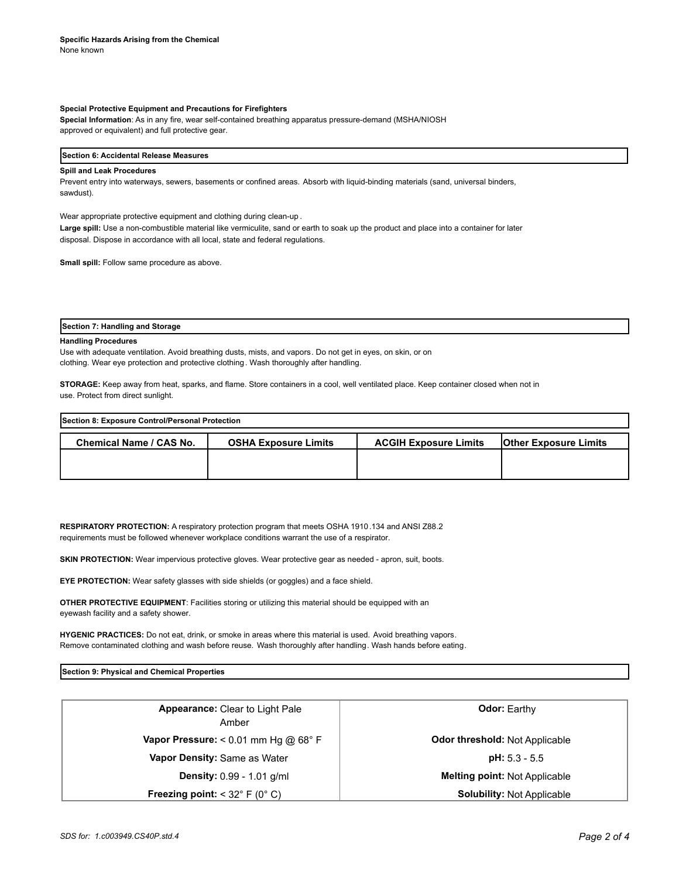#### **Special Protective Equipment and Precautions for Firefighters**

**Special Information**: As in any fire, wear self-contained breathing apparatus pressure-demand (MSHA/NIOSH approved or equivalent) and full protective gear.

## **Section 6: Accidental Release Measures**

### **Spill and Leak Procedures**

Prevent entry into waterways, sewers, basements or confined areas. Absorb with liquid-binding materials (sand, universal binders, sawdust).

Wear appropriate protective equipment and clothing during clean-up .

**Large spill:** Use a non-combustible material like vermiculite, sand or earth to soak up the product and place into a container for later disposal. Dispose in accordance with all local, state and federal regulations.

**Small spill:** Follow same procedure as above.

**Section 7: Handling and Storage**

#### **Handling Procedures**

Use with adequate ventilation. Avoid breathing dusts, mists, and vapors. Do not get in eyes, on skin, or on clothing. Wear eye protection and protective clothing. Wash thoroughly after handling.

**STORAGE:** Keep away from heat, sparks, and flame. Store containers in a cool, well ventilated place. Keep container closed when not in use. Protect from direct sunlight.

| Section 8: Exposure Control/Personal Protection |                             |                              |                              |  |
|-------------------------------------------------|-----------------------------|------------------------------|------------------------------|--|
| <b>Chemical Name / CAS No.</b>                  | <b>OSHA Exposure Limits</b> | <b>ACGIH Exposure Limits</b> | <b>Other Exposure Limits</b> |  |
|                                                 |                             |                              |                              |  |
|                                                 |                             |                              |                              |  |

**RESPIRATORY PROTECTION:** A respiratory protection program that meets OSHA 1910.134 and ANSI Z88.2 requirements must be followed whenever workplace conditions warrant the use of a respirator.

**SKIN PROTECTION:** Wear impervious protective gloves. Wear protective gear as needed - apron, suit, boots.

**EYE PROTECTION:** Wear safety glasses with side shields (or goggles) and a face shield.

**OTHER PROTECTIVE EQUIPMENT**: Facilities storing or utilizing this material should be equipped with an eyewash facility and a safety shower.

**HYGENIC PRACTICES:** Do not eat, drink, or smoke in areas where this material is used. Avoid breathing vapors. Remove contaminated clothing and wash before reuse. Wash thoroughly after handling. Wash hands before eating.

**Section 9: Physical and Chemical Properties**

| <b>Appearance: Clear to Light Pale</b><br>Amber           | <b>Odor:</b> Earthy                   |  |
|-----------------------------------------------------------|---------------------------------------|--|
| Vapor Pressure: $< 0.01$ mm Hg @ 68° F                    | <b>Odor threshold: Not Applicable</b> |  |
| Vapor Density: Same as Water                              | $pH: 5.3 - 5.5$                       |  |
| Density: 0.99 - 1.01 g/ml                                 | <b>Melting point: Not Applicable</b>  |  |
| <b>Freezing point:</b> $<$ 32 $\degree$ F (0 $\degree$ C) | <b>Solubility: Not Applicable</b>     |  |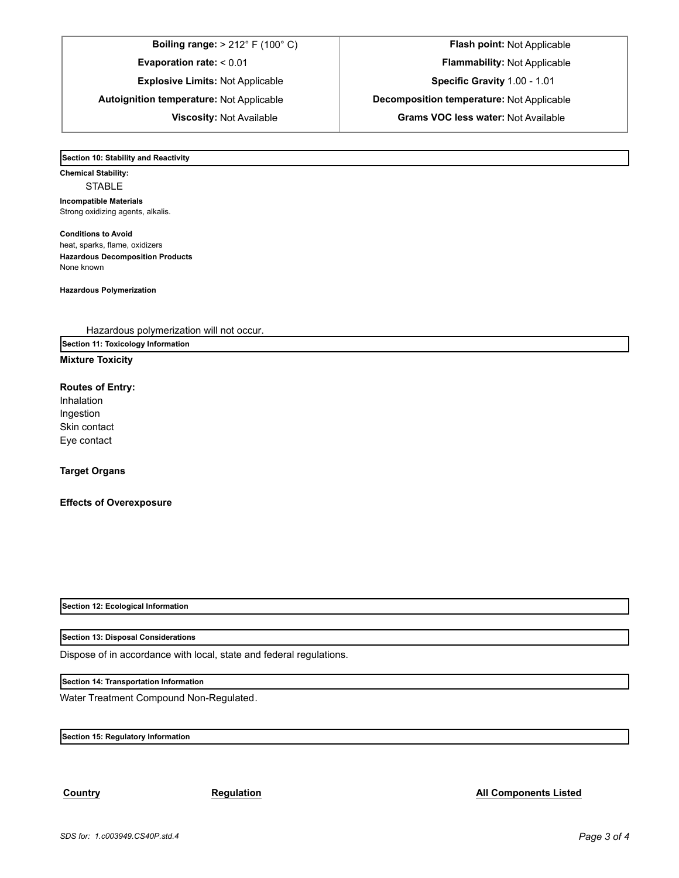**Boiling range:** > 212° F (100° C) **Flash point:** Not Applicable **Evaporation rate:** < 0.01 **Flammability:** Not Applicable **Explosive Limits:** Not Applicable **Specific Gravity** 1.00 - 1.01 **Autoignition temperature:** Not Applicable **Decomposition temperature:** Not Applicable

**Viscosity:** Not Available **Grams VOC less water:** Not Available

**Section 10: Stability and Reactivity** 

**Chemical Stability:** STABLE **Incompatible Materials**  Strong oxidizing agents, alkalis.

**Conditions to Avoid** heat, sparks, flame, oxidizers **Hazardous Decomposition Products** None known

**Hazardous Polymerization**

Hazardous polymerization will not occur.

**Section 11: Toxicology Information**

## **Mixture Toxicity**

## **Routes of Entry:**

Inhalation Ingestion Skin contact Eye contact

## **Target Organs**

## **Effects of Overexposure**

**Section 12: Ecological Information**

**Section 13: Disposal Considerations**

Dispose of in accordance with local, state and federal regulations.

**Section 14: Transportation Information**

Water Treatment Compound Non-Regulated.

**Section 15: Regulatory Information**

## **Country Regulation Regulation Regulation All Components Listed**